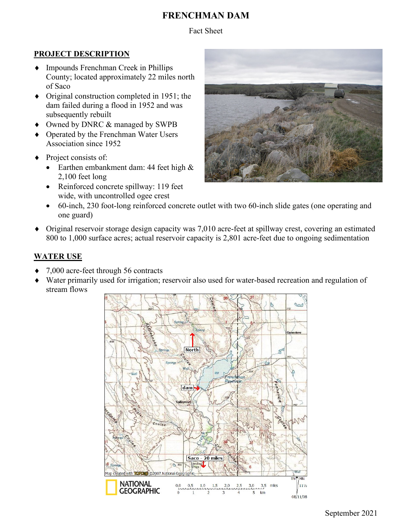# **FRENCHMAN DAM**

Fact Sheet

### **PROJECT DESCRIPTION**

- ♦ Impounds Frenchman Creek in Phillips County; located approximately 22 miles north of Saco
- ♦ Original construction completed in 1951; the dam failed during a flood in 1952 and was subsequently rebuilt
- ♦ Owned by DNRC & managed by SWPB
- Operated by the Frenchman Water Users Association since 1952
- Project consists of:
	- Earthen embankment dam: 44 feet high & 2,100 feet long
	- Reinforced concrete spillway: 119 feet wide, with uncontrolled ogee crest



- 60-inch, 230 foot-long reinforced concrete outlet with two 60-inch slide gates (one operating and one guard)
- ♦ Original reservoir storage design capacity was 7,010 acre-feet at spillway crest, covering an estimated 800 to 1,000 surface acres; actual reservoir capacity is 2,801 acre-feet due to ongoing sedimentation

### **WATER USE**

- ♦ 7,000 acre-feet through 56 contracts
- ♦ Water primarily used for irrigation; reservoir also used for water-based recreation and regulation of stream flows